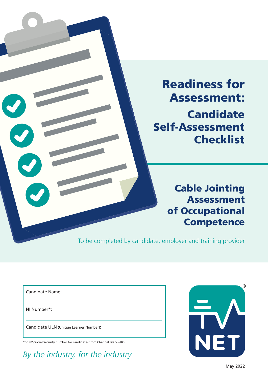

# Readiness for Assessment: **Candidate** Self-Assessment **Checklist**

Cable Jointing Assessment of Occupational **Competence** 

To be completed by candidate, employer and training provider

Candidate Name:

NI Number\*:

Candidate ULN (Unique Learner Number):

\*or PPS/Social Security number for candidates from Channel Islands/ROI

*By the industry, for the industry*

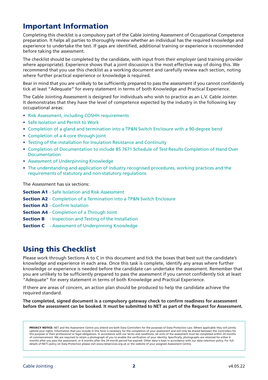## Important Information

Completing this checklist is a compulsory part of the Cable Jointing Assessment of Occupational Competence preparation. It helps all parties to thoroughly review whether an individual has the required knowledge and experience to undertake the test. If gaps are identified, additional training or experience is recommended before taking the assessment.

The checklist should be completed by the candidate, with input from their employer (and training provider where appropriate). Experience shows that a joint discussion is the most effective way of doing this. We recommend that you use this checklist as a working document and carefully review each section, noting where further practical experience or knowledge is required.

Bear in mind that you are unlikely to be sufficiently prepared to pass the assessment if you cannot confidently tick at least "Adequate" for every statement in terms of both Knowledge and Practical Experience.

The Cable Jointing Assessment is designed for individuals who wish to practice as an L.V. Cable Jointer. It demonstrates that they have the level of competence expected by the industry in the following key occupational areas:

- Risk Assessment, including COSHH requirements
- Safe Isolation and Permit to Work
- Completion of a gland and termination into a TP&N Switch Enclosure with a 90-degree bend
- Completion of a 4-core through joint
- Testing of the installation for Insulation Resistance and Continuity
- Completion of Documentation to include BS 7671 Schedule of Test Results Completion of Hand Over Documentation
- Assessment of Underpinning Knowledge
- The understanding and application of industry recognised procedures, working practices and the requirements of statutory and non-statutory regulations

The Assessment has six sections:

- **Section A1** Safe Isolation and Risk Assessment
- **Section A2** Completion of a Termination into a TP&N Switch Enclosure
- **Section A3** Confirm Isolation
- **Section A4** Completion of a Through Joint
- **Section B** Inspection and Testing of the Installation
- **Section C** Assessment of Underpinning Knowledge

#### Using this Checklist

Please work through Sections A to C in this document and tick the boxes that best suit the candidate's knowledge and experience in each area. Once this task is complete, identify any areas where further knowledge or experience is needed before the candidate can undertake the assessment. Remember that you are unlikely to be sufficiently prepared to pass the assessment if you cannot confidently tick at least "Adequate" for every statement in terms of both Knowledge and Practical Experience.

If there are areas of concern, an action plan should be produced to help the candidate achieve the required standard.

**The completed, signed document is a compulsory gateway check to confirm readiness for assessment before the assessment can be booked. It must be submitted to NET as part of the Request for Assessment.** 

PRIVACY NOTICE: NET and the Assessment Centre you attend are both Data Controllers for the purposes of Data Protection Law. Where applicable they will jointly uphold your rights. Information that you include in this form is necessary for the completion of your assessment and will only be shared between the Controllers for this purpose or their professional or legal obligations. In accordance with our terms and conditions, all units of the assessment must be completed within 24 months of commencement. We are required to retain a photograph of you to enable the verification of your identity. Specifically, photographs are retained for either 6 months after you pass the assessment, or 6 months after the 24 month period has expired. Other data is kept in accordance with our data retention policy. For full details of NET's policy on Data Protection please visit www.netservices.org.uk or the website of your assigned Assessment Centre.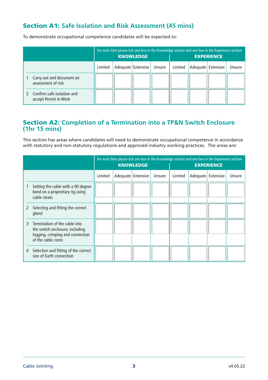#### Section A1: **Safe Isolation and Risk Assessment (45 mins)**

To demonstrate occupational competence candidates will be expected to:

|                                                       | For each item please tick one box in the Knowledge section and one box in the Experience section<br><b>KNOWLEDGE</b> |  |                    |        | <b>EXPERIENCE</b> |  |                    |        |  |
|-------------------------------------------------------|----------------------------------------------------------------------------------------------------------------------|--|--------------------|--------|-------------------|--|--------------------|--------|--|
|                                                       | Limited                                                                                                              |  | Adequate Extensive | Unsure | Limited           |  | Adequate Extensive | Unsure |  |
| Carry out and document an<br>assessment of risk       |                                                                                                                      |  |                    |        |                   |  |                    |        |  |
| 2 Confirm safe isolation and<br>accept Permit to Work |                                                                                                                      |  |                    |        |                   |  |                    |        |  |

#### Section A2: **Completion of a Termination into a TP&N Switch Enclosure (1hr 15 mins)**

This section has areas where candidates will need to demonstrate occupational competence in accordance with statutory and non-statutory regulations and approved industry working practices. The areas are:

|   |                                                                                                                            |         | For each item please tick one box in the Knowledge section and one box in the Experience section<br><b>KNOWLEDGE</b><br><b>EXPERIENCE</b> |                    |        |         |  |                    |        |
|---|----------------------------------------------------------------------------------------------------------------------------|---------|-------------------------------------------------------------------------------------------------------------------------------------------|--------------------|--------|---------|--|--------------------|--------|
|   |                                                                                                                            | Limited |                                                                                                                                           | Adequate Extensive | Unsure | Limited |  | Adequate Extensive | Unsure |
|   | Setting the cable with a 90 degree<br>bend on a proprietary rig using<br>cable cleats                                      |         |                                                                                                                                           |                    |        |         |  |                    |        |
|   | Selecting and fitting the correct<br>gland                                                                                 |         |                                                                                                                                           |                    |        |         |  |                    |        |
| ₹ | Termination of the cable into<br>the switch enclosure, including<br>lugging, crimping and connection<br>of the cable cores |         |                                                                                                                                           |                    |        |         |  |                    |        |
| 4 | Selection and fitting of the correct<br>size of Earth connection                                                           |         |                                                                                                                                           |                    |        |         |  |                    |        |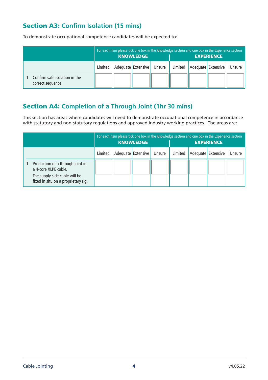## Section A3: **Confirm Isolation (15 mins)**

To demonstrate occupational competence candidates will be expected to:

|                                                   | For each item please tick one box in the Knowledge section and one box in the Experience section<br><b>KNOWLEDGE</b> |  |                    |        | <b>EXPERIENCE</b> |  |                    |        |
|---------------------------------------------------|----------------------------------------------------------------------------------------------------------------------|--|--------------------|--------|-------------------|--|--------------------|--------|
|                                                   | Limited                                                                                                              |  | Adequate Extensive | Unsure | Limited           |  | Adequate Extensive | Unsure |
| Confirm safe isolation in the<br>correct sequence |                                                                                                                      |  |                    |        |                   |  |                    |        |

### Section A4: **Completion of a Through Joint (1hr 30 mins)**

This section has areas where candidates will need to demonstrate occupational competence in accordance with statutory and non-statutory regulations and approved industry working practices. The areas are:

|                                                                                                                                  | For each item please tick one box in the Knowledge section and one box in the Experience section<br><b>KNOWLEDGE</b> |  |                    |        | <b>EXPERIENCE</b> |  |                    |        |
|----------------------------------------------------------------------------------------------------------------------------------|----------------------------------------------------------------------------------------------------------------------|--|--------------------|--------|-------------------|--|--------------------|--------|
|                                                                                                                                  | Limited                                                                                                              |  | Adequate Extensive | Unsure | Limited           |  | Adequate Extensive | Unsure |
| Production of a through joint in<br>a 4-core XLPE cable.<br>The supply side cable will be<br>fixed in situ on a proprietary rig. |                                                                                                                      |  |                    |        |                   |  |                    |        |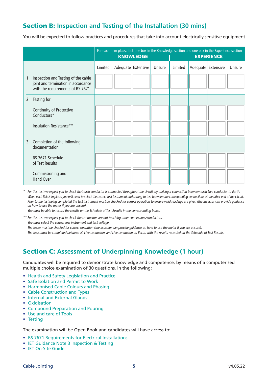#### Section B: **Inspection and Testing of the Installation (30 mins)**

You will be expected to follow practices and procedures that take into account electrically sensitive equipment.

|   |                                                                                                                 |         | <b>KNOWLEDGE</b>   |        | For each item please tick one box in the Knowledge section and one box in the Experience section<br><b>EXPERIENCE</b> |  |                      |        |
|---|-----------------------------------------------------------------------------------------------------------------|---------|--------------------|--------|-----------------------------------------------------------------------------------------------------------------------|--|----------------------|--------|
|   |                                                                                                                 | Limited | Adequate Extensive | Unsure | Limited                                                                                                               |  | Adequate   Extensive | Unsure |
|   | Inspection and Testing of the cable<br>joint and termination in accordance<br>with the requirements of BS 7671. |         |                    |        |                                                                                                                       |  |                      |        |
| 2 | Testing for:                                                                                                    |         |                    |        |                                                                                                                       |  |                      |        |
|   | <b>Continuity of Protective</b><br>Conductors*                                                                  |         |                    |        |                                                                                                                       |  |                      |        |
|   | Insulation Resistance**                                                                                         |         |                    |        |                                                                                                                       |  |                      |        |
| 3 | Completion of the following<br>documentation:                                                                   |         |                    |        |                                                                                                                       |  |                      |        |
|   | BS 7671 Schedule<br>of Test Results                                                                             |         |                    |        |                                                                                                                       |  |                      |        |
|   | Commissioning and<br>Hand Over                                                                                  |         |                    |        |                                                                                                                       |  |                      |        |

\* For this test we expect you to check that each conductor is connected throughout the circuit, by making a connection between each Live conductor to Earth. When each link is in place, you will need to select the correct test instrument and setting to test between the corresponding connections at the other end of the circuit. Prior to the test being completed the test instrument must be checked for correct operation to ensure valid readings are given (the assessor can provide guidance on how to use the meter if you are unsure).

You must be able to record the results on the Schedule of Test Results in the corresponding boxes.

\*\* For this test we expect you to check the conductors are not touching other connections/conductors. You must select the correct test instrument and test voltage.

The tester must be checked for correct operation (the assessor can provide guidance on how to use the meter if you are unsure).

The tests must be completed between all Live conductors and Live conductors to Earth, with the results recorded on the Schedule of Test Results.

#### Section C: **Assessment of Underpinning Knowledge (1 hour)**

Candidates will be required to demonstrate knowledge and competence, by means of a computerised multiple choice examination of 30 questions, in the following:

- Health and Safety Legislation and Practice
- Safe Isolation and Permit to Work
- Harmonised Cable Colours and Phasing
- Cable Construction and Types
- Internal and External Glands
- Oxidisation
- Compound Preparation and Pouring
- Use and care of Tools
- Testing

The examination will be Open Book and candidates will have access to:

- BS 7671 Requirements for Electrical Installations
- IET Guidance Note 3 Inspection & Testing
- IET On-Site Guide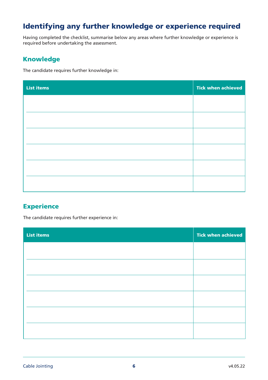## Identifying any further knowledge or experience required

Having completed the checklist, summarise below any areas where further knowledge or experience is required before undertaking the assessment.

#### Knowledge

The candidate requires further knowledge in:

| <b>List items</b> | <b>Tick when achieved</b> |
|-------------------|---------------------------|
|                   |                           |
|                   |                           |
|                   |                           |
|                   |                           |
|                   |                           |
|                   |                           |
|                   |                           |

#### **Experience**

The candidate requires further experience in:

| <b>List items</b> | <b>Tick when achieved</b> |
|-------------------|---------------------------|
|                   |                           |
|                   |                           |
|                   |                           |
|                   |                           |
|                   |                           |
|                   |                           |
|                   |                           |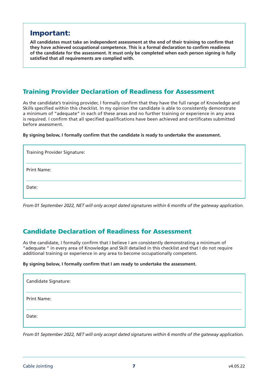#### Important:

**All candidates must take an independent assessment at the end of their training to confirm that they have achieved occupational competence. This is a formal declaration to confirm readiness of the candidate for the assessment. It must only be completed when each person signing is fully satisfied that all requirements are complied with.**

#### Training Provider Declaration of Readiness for Assessment

As the candidate's training provider, I formally confirm that they have the full range of Knowledge and Skills specified within this checklist. In my opinion the candidate is able to consistently demonstrate a minimum of "adequate" in each of these areas and no further training or experience in any area is required. I confirm that all specified qualifications have been achieved and certificates submitted before assessment.

**By signing below, I formally confirm that the candidate is ready to undertake the assessment.**

| <b>Training Provider Signature:</b> |  |
|-------------------------------------|--|
| <b>Print Name:</b>                  |  |
| Date:                               |  |

*From 01 September 2022, NET will only accept dated signatures within 6 months of the gateway application.* 

#### Candidate Declaration of Readiness for Assessment

As the candidate, I formally confirm that I believe I am consistently demonstrating a minimum of "adequate " in every area of Knowledge and Skill detailed in this checklist and that I do not require additional training or experience in any area to become occupationally competent.

#### **By signing below, I formally confirm that I am ready to undertake the assessment.**

| Candidate Signature: |  |
|----------------------|--|
| <b>Print Name:</b>   |  |
| Date:                |  |

*From 01 September 2022, NET will only accept dated signatures within 6 months of the gateway application.*